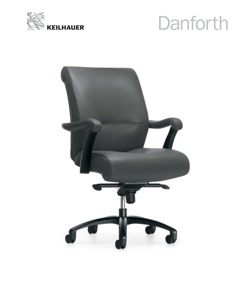

## Danforth

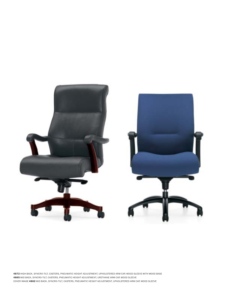

HIGH BACK, SYNCRO-TILT, CASTERS, PNEUMATIC HEIGHT ADJUSTMENT, UPHOLSTERED ARM CAP, WOOD SLEEVE WITH WOOD BASE MID BACK, SYNCRO-TILT, CASTERS, PNEUMATIC HEIGHT ADJUSTMENT, URETHANE ARM CAP, WOOD SLEEVE COVER IMAGE **4862** MID BACK, SYNCRO-TILT, CASTERS, PNEUMATIC HEIGHT ADJUSTMENT, UPHOLSTERED ARM CAP, WOOD SLEEVE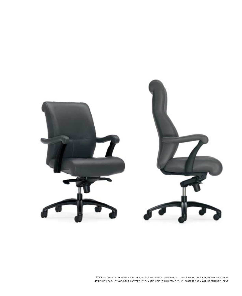

MID BACK, SYNCRO-TILT, CASTERS, PNEUMATIC HEIGHT ADJUSTMENT, UPHOLSTERED ARM CAP, URETHANE SLEEVE HIGH BACK, SYNCRO-TILT, CASTERS, PNEUMATIC HEIGHT ADJUSTMENT, UPHOLSTERED ARM CAP, URETHANE SLEEVE